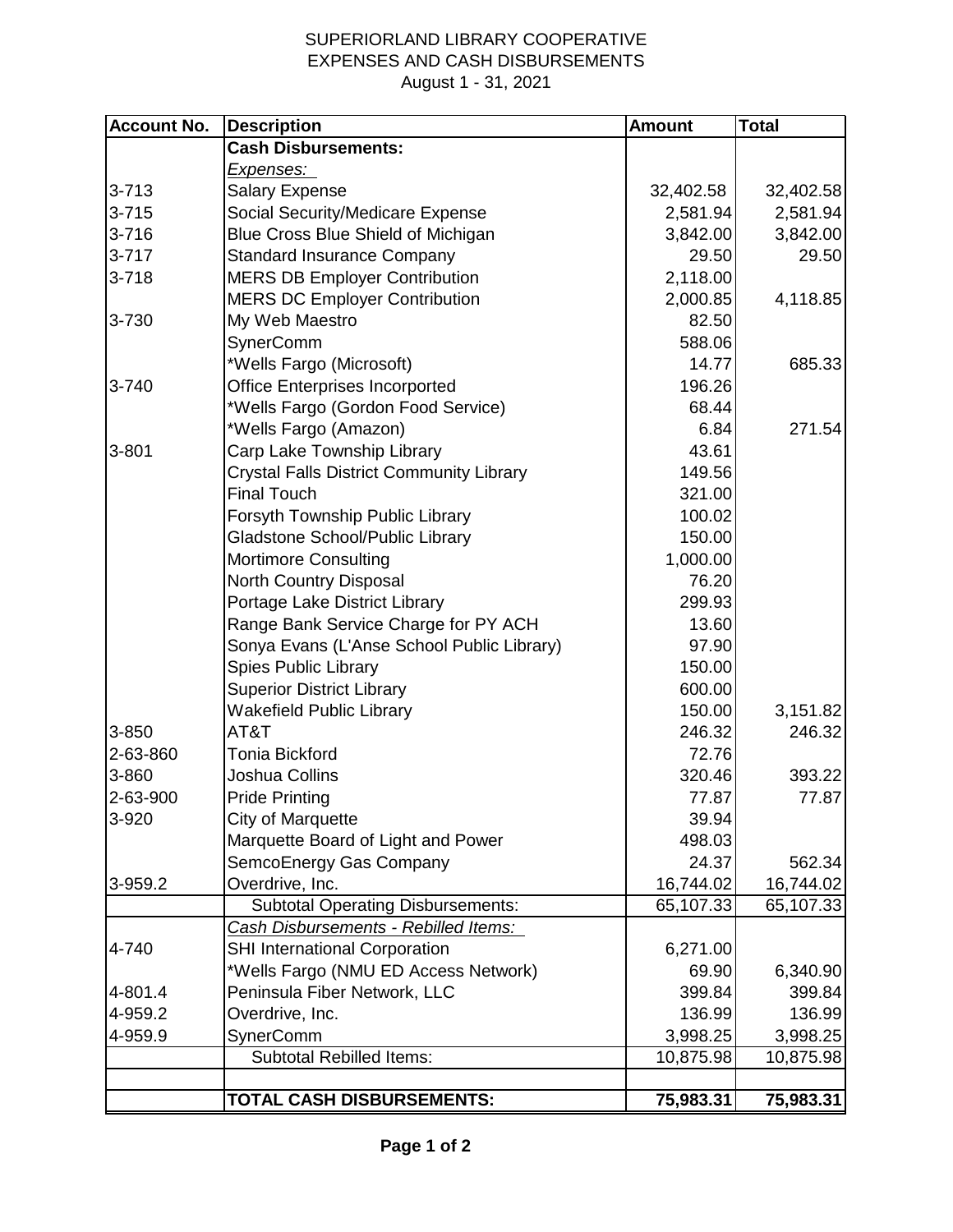## SUPERIORLAND LIBRARY COOPERATIVE EXPENSES AND CASH DISBURSEMENTS August 1 - 31, 2021

| <b>Account No.</b> | <b>Description</b>                              | <b>Amount</b> | <b>Total</b> |
|--------------------|-------------------------------------------------|---------------|--------------|
|                    | <b>Cash Disbursements:</b>                      |               |              |
|                    | <u>Expenses: </u>                               |               |              |
| $3 - 713$          | <b>Salary Expense</b>                           | 32,402.58     | 32,402.58    |
| $3 - 715$          | Social Security/Medicare Expense                | 2,581.94      | 2,581.94     |
| $3 - 716$          | Blue Cross Blue Shield of Michigan              | 3,842.00      | 3,842.00     |
| $3 - 717$          | <b>Standard Insurance Company</b>               | 29.50         | 29.50        |
| $3 - 718$          | <b>MERS DB Employer Contribution</b>            | 2,118.00      |              |
|                    | <b>MERS DC Employer Contribution</b>            | 2,000.85      | 4,118.85     |
| 3-730              | My Web Maestro                                  | 82.50         |              |
|                    | SynerComm                                       | 588.06        |              |
|                    | *Wells Fargo (Microsoft)                        | 14.77         | 685.33       |
| 3-740              | <b>Office Enterprises Incorported</b>           | 196.26        |              |
|                    | *Wells Fargo (Gordon Food Service)              | 68.44         |              |
|                    | *Wells Fargo (Amazon)                           | 6.84          | 271.54       |
| 3-801              | Carp Lake Township Library                      | 43.61         |              |
|                    | <b>Crystal Falls District Community Library</b> | 149.56        |              |
|                    | <b>Final Touch</b>                              | 321.00        |              |
|                    | Forsyth Township Public Library                 | 100.02        |              |
|                    | Gladstone School/Public Library                 | 150.00        |              |
|                    | <b>Mortimore Consulting</b>                     | 1,000.00      |              |
|                    | North Country Disposal                          | 76.20         |              |
|                    | Portage Lake District Library                   | 299.93        |              |
|                    | Range Bank Service Charge for PY ACH            | 13.60         |              |
|                    | Sonya Evans (L'Anse School Public Library)      | 97.90         |              |
|                    | <b>Spies Public Library</b>                     | 150.00        |              |
|                    | <b>Superior District Library</b>                | 600.00        |              |
|                    | <b>Wakefield Public Library</b>                 | 150.00        | 3,151.82     |
| 3-850              | AT&T                                            | 246.32        | 246.32       |
| 2-63-860           | <b>Tonia Bickford</b>                           | 72.76         |              |
| 3-860              | <b>Joshua Collins</b>                           | 320.46        | 393.22       |
| 2-63-900           | <b>Pride Printing</b>                           | 77.87         | 77.87        |
| 3-920              | City of Marquette                               | 39.94         |              |
|                    | Marquette Board of Light and Power              | 498.03        |              |
|                    | SemcoEnergy Gas Company                         | 24.37         | 562.34       |
| 3-959.2            | Overdrive, Inc.                                 | 16,744.02     | 16,744.02    |
|                    | <b>Subtotal Operating Disbursements:</b>        | 65,107.33     | 65,107.33    |
|                    | Cash Disbursements - Rebilled Items:            |               |              |
| 4-740              | <b>SHI International Corporation</b>            | 6,271.00      |              |
|                    | *Wells Fargo (NMU ED Access Network)            | 69.90         | 6,340.90     |
| 4-801.4            | Peninsula Fiber Network, LLC                    | 399.84        | 399.84       |
| 4-959.2            | Overdrive, Inc.                                 | 136.99        | 136.99       |
| 4-959.9            | SynerComm                                       | 3,998.25      | 3,998.25     |
|                    | <b>Subtotal Rebilled Items:</b>                 | 10,875.98     | 10,875.98    |
|                    |                                                 |               |              |
|                    | <b>TOTAL CASH DISBURSEMENTS:</b>                | 75,983.31     | 75,983.31    |